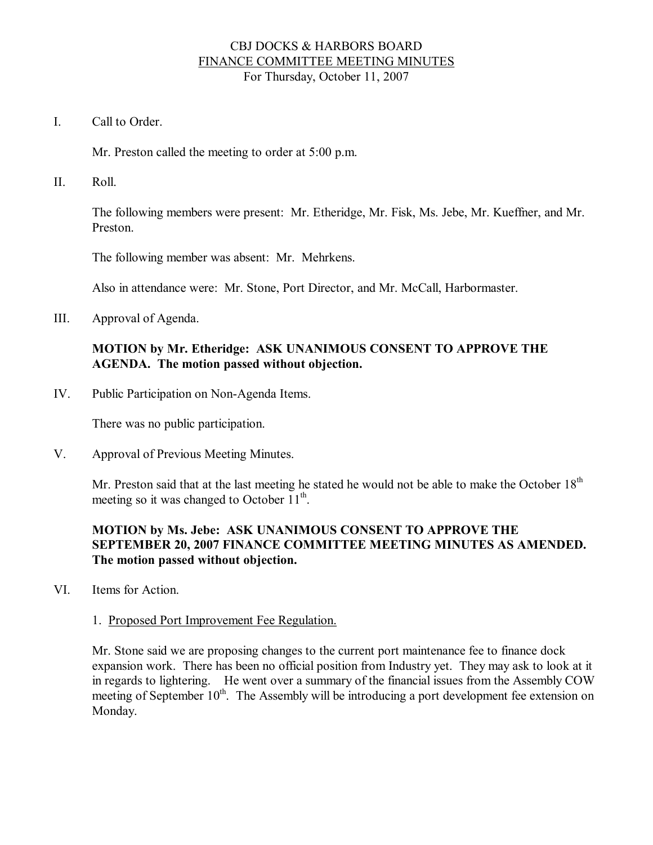## CBJ DOCKS & HARBORS BOARD FINANCE COMMITTEE MEETING MINUTES For Thursday, October 11, 2007

I. Call to Order

Mr. Preston called the meeting to order at 5:00 p.m.

II. Roll.

The following members were present: Mr. Etheridge, Mr. Fisk, Ms. Jebe, Mr. Kueffner, and Mr. Preston.

The following member was absent: Mr. Mehrkens.

Also in attendance were: Mr. Stone, Port Director, and Mr. McCall, Harbormaster.

III. Approval of Agenda.

# **MOTION by Mr. Etheridge: ASK UNANIMOUS CONSENT TO APPROVE THE AGENDA. The motion passed without objection.**

IV. Public Participation on Non-Agenda Items.

There was no public participation.

V. Approval of Previous Meeting Minutes.

Mr. Preston said that at the last meeting he stated he would not be able to make the October 18<sup>th</sup> meeting so it was changed to October 11<sup>th</sup>.

# **MOTION by Ms. Jebe: ASK UNANIMOUS CONSENT TO APPROVE THE SEPTEMBER 20, 2007 FINANCE COMMITTEE MEETING MINUTES AS AMENDED. The motion passed without objection.**

VI. Items for Action.

## 1. Proposed Port Improvement Fee Regulation.

Mr. Stone said we are proposing changes to the current port maintenance fee to finance dock expansion work. There has been no official position from Industry yet. They may ask to look at it in regards to lightering. He went over a summary of the financial issues from the Assembly COW meeting of September 10<sup>th</sup>. The Assembly will be introducing a port development fee extension on Monday.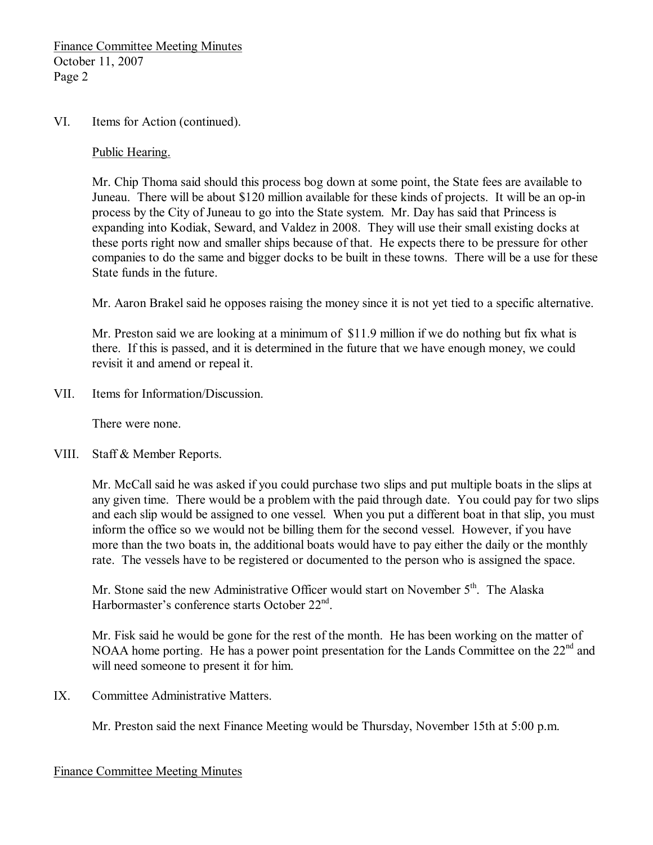#### VI. Items for Action (continued).

#### Public Hearing.

Mr. Chip Thoma said should this process bog down at some point, the State fees are available to Juneau. There will be about \$120 million available for these kinds of projects. It will be an op-in process by the City of Juneau to go into the State system. Mr. Day has said that Princess is expanding into Kodiak, Seward, and Valdez in 2008. They will use their small existing docks at these ports right now and smaller ships because of that. He expects there to be pressure for other companies to do the same and bigger docks to be built in these towns. There will be a use for these State funds in the future.

Mr. Aaron Brakel said he opposes raising the money since it is not yet tied to a specific alternative.

Mr. Preston said we are looking at a minimum of \$11.9 million if we do nothing but fix what is there. If this is passed, and it is determined in the future that we have enough money, we could revisit it and amend or repeal it.

VII. Items for Information/Discussion.

There were none.

VIII. Staff & Member Reports.

Mr. McCall said he was asked if you could purchase two slips and put multiple boats in the slips at any given time. There would be a problem with the paid through date. You could pay for two slips and each slip would be assigned to one vessel. When you put a different boat in that slip, you must inform the office so we would not be billing them for the second vessel. However, if you have more than the two boats in, the additional boats would have to pay either the daily or the monthly rate. The vessels have to be registered or documented to the person who is assigned the space.

Mr. Stone said the new Administrative Officer would start on November 5<sup>th</sup>. The Alaska Harbormaster's conference starts October 22<sup>nd</sup>.

Mr. Fisk said he would be gone for the rest of the month. He has been working on the matter of NOAA home porting. He has a power point presentation for the Lands Committee on the 22<sup>nd</sup> and will need someone to present it for him.

IX. Committee Administrative Matters.

Mr. Preston said the next Finance Meeting would be Thursday, November 15th at 5:00 p.m.

## Finance Committee Meeting Minutes